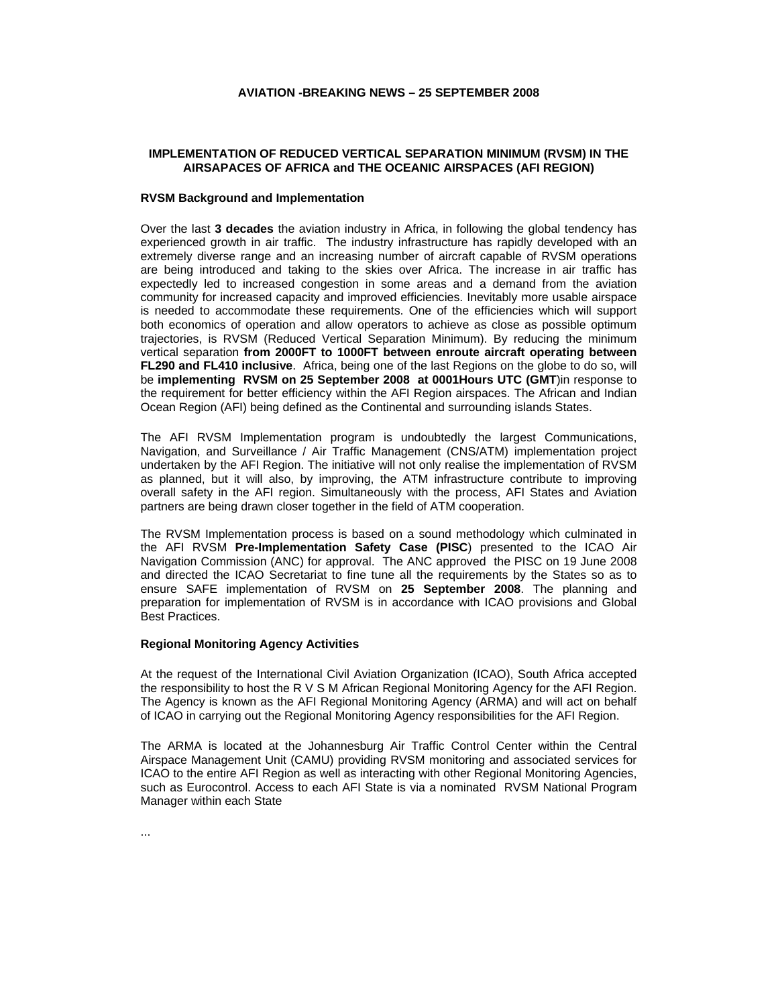## **AVIATION -BREAKING NEWS – 25 SEPTEMBER 2008**

## **IMPLEMENTATION OF REDUCED VERTICAL SEPARATION MINIMUM (RVSM) IN THE AIRSAPACES OF AFRICA and THE OCEANIC AIRSPACES (AFI REGION)**

#### **RVSM Background and Implementation**

Over the last **3 decades** the aviation industry in Africa, in following the global tendency has experienced growth in air traffic. The industry infrastructure has rapidly developed with an extremely diverse range and an increasing number of aircraft capable of RVSM operations are being introduced and taking to the skies over Africa. The increase in air traffic has expectedly led to increased congestion in some areas and a demand from the aviation community for increased capacity and improved efficiencies. Inevitably more usable airspace is needed to accommodate these requirements. One of the efficiencies which will support both economics of operation and allow operators to achieve as close as possible optimum trajectories, is RVSM (Reduced Vertical Separation Minimum). By reducing the minimum vertical separation **from 2000FT to 1000FT between enroute aircraft operating between FL290 and FL410 inclusive**. Africa, being one of the last Regions on the globe to do so, will be **implementing RVSM on 25 September 2008 at 0001Hours UTC (GMT**)in response to the requirement for better efficiency within the AFI Region airspaces. The African and Indian Ocean Region (AFI) being defined as the Continental and surrounding islands States.

The AFI RVSM Implementation program is undoubtedly the largest Communications, Navigation, and Surveillance / Air Traffic Management (CNS/ATM) implementation project undertaken by the AFI Region. The initiative will not only realise the implementation of RVSM as planned, but it will also, by improving, the ATM infrastructure contribute to improving overall safety in the AFI region. Simultaneously with the process, AFI States and Aviation partners are being drawn closer together in the field of ATM cooperation.

The RVSM Implementation process is based on a sound methodology which culminated in the AFI RVSM **Pre-Implementation Safety Case (PISC**) presented to the ICAO Air Navigation Commission (ANC) for approval. The ANC approved the PISC on 19 June 2008 and directed the ICAO Secretariat to fine tune all the requirements by the States so as to ensure SAFE implementation of RVSM on **25 September 2008**. The planning and preparation for implementation of RVSM is in accordance with ICAO provisions and Global Best Practices.

#### **Regional Monitoring Agency Activities**

At the request of the International Civil Aviation Organization (ICAO), South Africa accepted the responsibility to host the R V S M African Regional Monitoring Agency for the AFI Region. The Agency is known as the AFI Regional Monitoring Agency (ARMA) and will act on behalf of ICAO in carrying out the Regional Monitoring Agency responsibilities for the AFI Region.

The ARMA is located at the Johannesburg Air Traffic Control Center within the Central Airspace Management Unit (CAMU) providing RVSM monitoring and associated services for ICAO to the entire AFI Region as well as interacting with other Regional Monitoring Agencies, such as Eurocontrol. Access to each AFI State is via a nominated RVSM National Program Manager within each State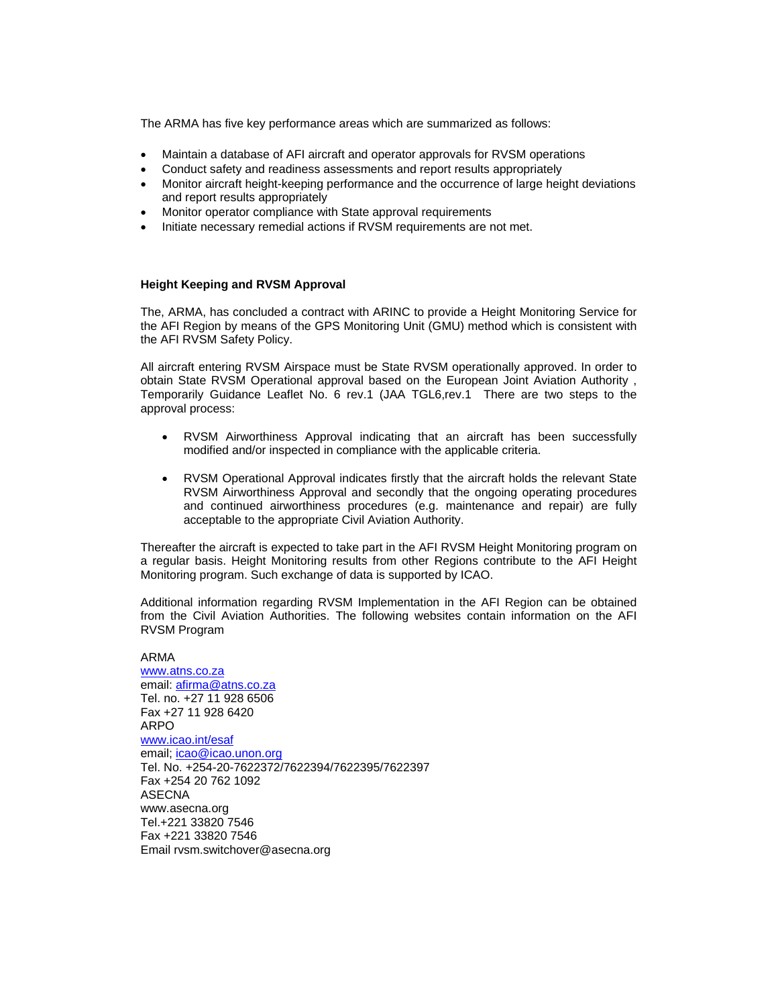The ARMA has five key performance areas which are summarized as follows:

- Maintain a database of AFI aircraft and operator approvals for RVSM operations
- Conduct safety and readiness assessments and report results appropriately
- Monitor aircraft height-keeping performance and the occurrence of large height deviations and report results appropriately
- Monitor operator compliance with State approval requirements
- Initiate necessary remedial actions if RVSM requirements are not met.

### **Height Keeping and RVSM Approval**

The, ARMA, has concluded a contract with ARINC to provide a Height Monitoring Service for the AFI Region by means of the GPS Monitoring Unit (GMU) method which is consistent with the AFI RVSM Safety Policy.

All aircraft entering RVSM Airspace must be State RVSM operationally approved. In order to obtain State RVSM Operational approval based on the European Joint Aviation Authority , Temporarily Guidance Leaflet No. 6 rev.1 (JAA TGL6,rev.1 There are two steps to the approval process:

- RVSM Airworthiness Approval indicating that an aircraft has been successfully modified and/or inspected in compliance with the applicable criteria.
- RVSM Operational Approval indicates firstly that the aircraft holds the relevant State RVSM Airworthiness Approval and secondly that the ongoing operating procedures and continued airworthiness procedures (e.g. maintenance and repair) are fully acceptable to the appropriate Civil Aviation Authority.

Thereafter the aircraft is expected to take part in the AFI RVSM Height Monitoring program on a regular basis. Height Monitoring results from other Regions contribute to the AFI Height Monitoring program. Such exchange of data is supported by ICAO.

Additional information regarding RVSM Implementation in the AFI Region can be obtained from the Civil Aviation Authorities. The following websites contain information on the AFI RVSM Program

#### ARMA

www.atns.co.za email: afirma@atns.co.za Tel. no. +27 11 928 6506 Fax +27 11 928 6420 ARPO www.icao.int/esaf email; icao@icao.unon.org Tel. No. +254-20-7622372/7622394/7622395/7622397 Fax +254 20 762 1092 ASECNA www.asecna.org Tel.+221 33820 7546 Fax +221 33820 7546 Email rvsm.switchover@asecna.org